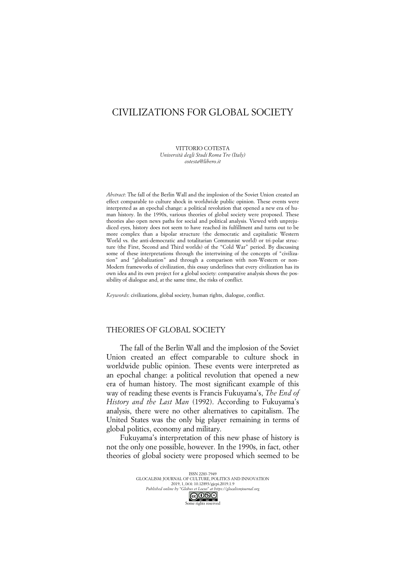# CIVILIZATIONS FOR GLOBAL SOCIETY

VITTORIO COTESTA *Università degli Studi Roma Tre (Italy) cotesta@libero.it*

*Abstract*: The fall of the Berlin Wall and the implosion of the Soviet Union created an effect comparable to culture shock in worldwide public opinion. These events were interpreted as an epochal change: a political revolution that opened a new era of human history. In the 1990s, various theories of global society were proposed. These theories also open news paths for social and political analysis. Viewed with unprejudiced eyes, history does not seem to have reached its fulfillment and turns out to be more complex than a bipolar structure (the democratic and capitalistic Western World vs. the anti-democratic and totalitarian Communist world) or tri-polar structure (the First, Second and Third worlds) of the "Cold War" period. By discussing some of these interpretations through the intertwining of the concepts of "civilization" and "globalization" and through a comparison with non-Western or non-Modern frameworks of civilization, this essay underlines that every civilization has its own idea and its own project for a global society: comparative analysis shows the possibility of dialogue and, at the same time, the risks of conflict.

*Keywords*: civilizations, global society, human rights, dialogue, conflict.

### THEORIES OF GLOBAL SOCIETY

The fall of the Berlin Wall and the implosion of the Soviet Union created an effect comparable to culture shock in worldwide public opinion. These events were interpreted as an epochal change: a political revolution that opened a new era of human history. The most significant example of this way of reading these events is Francis Fukuyama's, *The End of History and the Last Man* (1992). According to Fukuyama's analysis, there were no other alternatives to capitalism. The United States was the only big player remaining in terms of global politics, economy and military.

Fukuyama's interpretation of this new phase of history is not the only one possible, however. In the 1990s, in fact, other theories of global society were proposed which seemed to be

> ISSN 2283-7949 GLOCALISM: JOURNAL OF CULTURE, POLITICS AND INNOVATION 2019, 1, DOI: 10.12893/gjcpi.2019.1.9 *Published online by "Globus et Locus" at https://glocalismjournal.org* Some rights reserved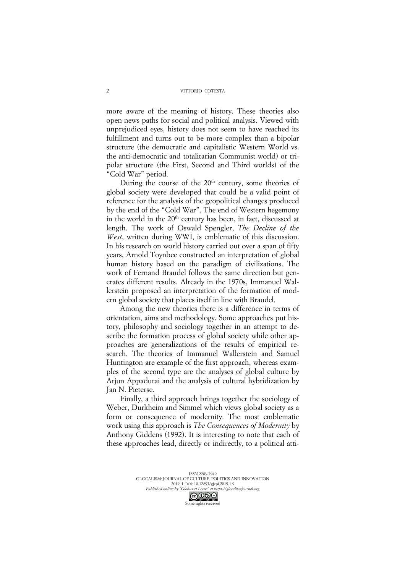more aware of the meaning of history. These theories also open news paths for social and political analysis. Viewed with unprejudiced eyes, history does not seem to have reached its fulfillment and turns out to be more complex than a bipolar structure (the democratic and capitalistic Western World vs. the anti-democratic and totalitarian Communist world) or tripolar structure (the First, Second and Third worlds) of the "Cold War" period.

During the course of the  $20<sup>th</sup>$  century, some theories of global society were developed that could be a valid point of reference for the analysis of the geopolitical changes produced by the end of the "Cold War". The end of Western hegemony in the world in the 20<sup>th</sup> century has been, in fact, discussed at length. The work of Oswald Spengler, *The Decline of the West*, written during WWI, is emblematic of this discussion. In his research on world history carried out over a span of fifty years, Arnold Toynbee constructed an interpretation of global human history based on the paradigm of civilizations. The work of Fernand Braudel follows the same direction but generates different results. Already in the 1970s, Immanuel Wallerstein proposed an interpretation of the formation of modern global society that places itself in line with Braudel.

Among the new theories there is a difference in terms of orientation, aims and methodology. Some approaches put history, philosophy and sociology together in an attempt to describe the formation process of global society while other approaches are generalizations of the results of empirical research. The theories of Immanuel Wallerstein and Samuel Huntington are example of the first approach, whereas examples of the second type are the analyses of global culture by Arjun Appadurai and the analysis of cultural hybridization by Jan N. Pieterse.

Finally, a third approach brings together the sociology of Weber, Durkheim and Simmel which views global society as a form or consequence of modernity. The most emblematic work using this approach is *The Consequences of Modernity* by Anthony Giddens (1992). It is interesting to note that each of these approaches lead, directly or indirectly, to a political atti-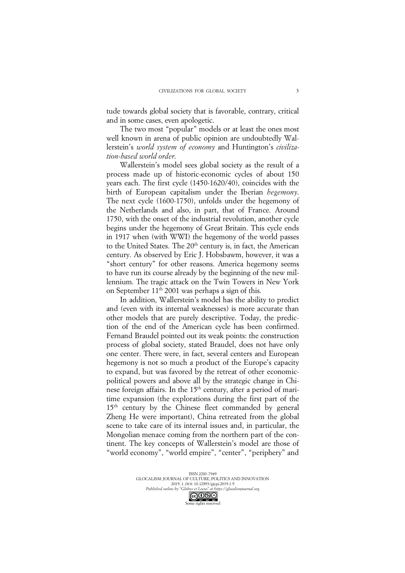tude towards global society that is favorable, contrary, critical and in some cases, even apologetic.

The two most "popular" models or at least the ones most well known in arena of public opinion are undoubtedly Wallerstein's *world system of economy* and Huntington's *civilization-based world order*.

Wallerstein's model sees global society as the result of a process made up of historic-economic cycles of about 150 years each. The first cycle (1450-1620/40), coincides with the birth of European capitalism under the Iberian *hegemony*. The next cycle (1600-1750), unfolds under the hegemony of the Netherlands and also, in part, that of France. Around 1750, with the onset of the industrial revolution, another cycle begins under the hegemony of Great Britain. This cycle ends in 1917 when (with WWI) the hegemony of the world passes to the United States. The  $20<sup>th</sup>$  century is, in fact, the American century. As observed by Eric J. Hobsbawm, however, it was a "short century" for other reasons. America hegemony seems to have run its course already by the beginning of the new millennium. The tragic attack on the Twin Towers in New York on September  $11<sup>th</sup> 2001$  was perhaps a sign of this.

In addition, Wallerstein's model has the ability to predict and (even with its internal weaknesses) is more accurate than other models that are purely descriptive. Today, the prediction of the end of the American cycle has been confirmed. Fernand Braudel pointed out its weak points: the construction process of global society, stated Braudel, does not have only one center. There were, in fact, several centers and European hegemony is not so much a product of the Europe's capacity to expand, but was favored by the retreat of other economicpolitical powers and above all by the strategic change in Chinese foreign affairs. In the 15<sup>th</sup> century, after a period of maritime expansion (the explorations during the first part of the 15<sup>th</sup> century by the Chinese fleet commanded by general Zheng He were important), China retreated from the global scene to take care of its internal issues and, in particular, the Mongolian menace coming from the northern part of the continent. The key concepts of Wallerstein's model are those of "world economy", "world empire", "center", "periphery" and

> ISSN 2283-7949 GLOCALISM: JOURNAL OF CULTURE, POLITICS AND INNOVATION 2019, 1, DOI: 10.12893/gjcpi.2019.1.9 *Published online by "Globus et Locus" at https://glocalismjournal.org*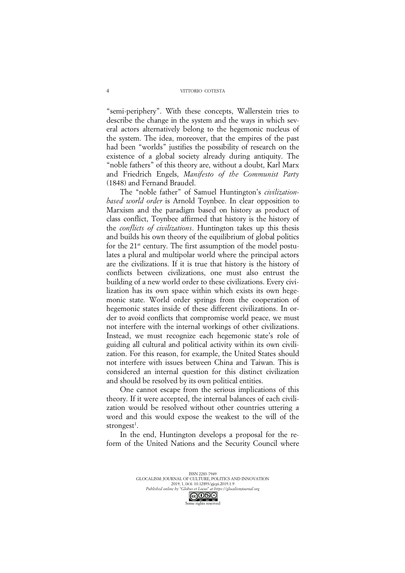"semi-periphery". With these concepts, Wallerstein tries to describe the change in the system and the ways in which several actors alternatively belong to the hegemonic nucleus of the system. The idea, moreover, that the empires of the past had been "worlds" justifies the possibility of research on the existence of a global society already during antiquity. The "noble fathers" of this theory are, without a doubt, Karl Marx and Friedrich Engels, *Manifesto of the Communist Party* (1848) and Fernand Braudel.

The "noble father" of Samuel Huntington's *civilizationbased world order* is Arnold Toynbee. In clear opposition to Marxism and the paradigm based on history as product of class conflict, Toynbee affirmed that history is the history of the *conflicts of civilizations*. Huntington takes up this thesis and builds his own theory of the equilibrium of global politics for the  $21^{st}$  century. The first assumption of the model postulates a plural and multipolar world where the principal actors are the civilizations. If it is true that history is the history of conflicts between civilizations, one must also entrust the building of a new world order to these civilizations. Every civilization has its own space within which exists its own hegemonic state. World order springs from the cooperation of hegemonic states inside of these different civilizations. In order to avoid conflicts that compromise world peace, we must not interfere with the internal workings of other civilizations. Instead, we must recognize each hegemonic state's role of guiding all cultural and political activity within its own civilization. For this reason, for example, the United States should not interfere with issues between China and Taiwan. This is considered an internal question for this distinct civilization and should be resolved by its own political entities.

One cannot escape from the serious implications of this theory. If it were accepted, the internal balances of each civilization would be resolved without other countries uttering a word and this would expose the weakest to the will of the strongest<sup>1</sup>.

In the end, Huntington develops a proposal for the reform of the United Nations and the Security Council where

ISSN 2283-7949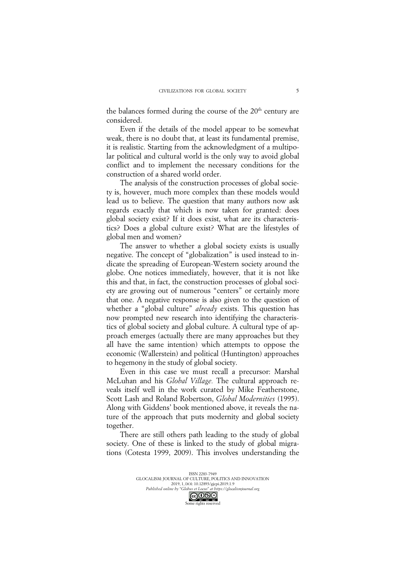the balances formed during the course of the 20<sup>th</sup> century are considered.

Even if the details of the model appear to be somewhat weak, there is no doubt that, at least its fundamental premise, it is realistic. Starting from the acknowledgment of a multipolar political and cultural world is the only way to avoid global conflict and to implement the necessary conditions for the construction of a shared world order.

The analysis of the construction processes of global society is, however, much more complex than these models would lead us to believe. The question that many authors now ask regards exactly that which is now taken for granted: does global society exist? If it does exist, what are its characteristics? Does a global culture exist? What are the lifestyles of global men and women?

The answer to whether a global society exists is usually negative. The concept of "globalization" is used instead to indicate the spreading of European-Western society around the globe. One notices immediately, however, that it is not like this and that, in fact, the construction processes of global society are growing out of numerous "centers" or certainly more that one. A negative response is also given to the question of whether a "global culture" *already* exists. This question has now prompted new research into identifying the characteristics of global society and global culture. A cultural type of approach emerges (actually there are many approaches but they all have the same intention) which attempts to oppose the economic (Wallerstein) and political (Huntington) approaches to hegemony in the study of global society.

Even in this case we must recall a precursor: Marshal McLuhan and his *Global Village.* The cultural approach reveals itself well in the work curated by Mike Featherstone, Scott Lash and Roland Robertson, *Global Modernities* (1995). Along with Giddens' book mentioned above, it reveals the nature of the approach that puts modernity and global society together.

There are still others path leading to the study of global society. One of these is linked to the study of global migrations (Cotesta 1999, 2009). This involves understanding the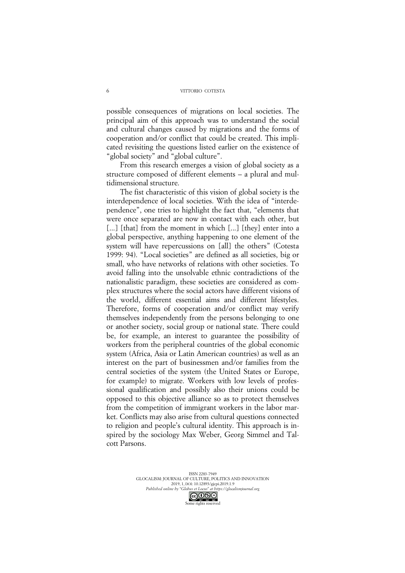possible consequences of migrations on local societies. The principal aim of this approach was to understand the social and cultural changes caused by migrations and the forms of cooperation and/or conflict that could be created. This implicated revisiting the questions listed earlier on the existence of "global society" and "global culture".

From this research emerges a vision of global society as a structure composed of different elements – a plural and multidimensional structure.

The fist characteristic of this vision of global society is the interdependence of local societies. With the idea of "interdependence", one tries to highlight the fact that, "elements that were once separated are now in contact with each other, but [...] [that] from the moment in which [...] [they] enter into a global perspective, anything happening to one element of the system will have repercussions on [all] the others" (Cotesta 1999: 94). "Local societies" are defined as all societies, big or small, who have networks of relations with other societies. To avoid falling into the unsolvable ethnic contradictions of the nationalistic paradigm, these societies are considered as complex structures where the social actors have different visions of the world, different essential aims and different lifestyles. Therefore, forms of cooperation and/or conflict may verify themselves independently from the persons belonging to one or another society, social group or national state. There could be, for example, an interest to guarantee the possibility of workers from the peripheral countries of the global economic system (Africa, Asia or Latin American countries) as well as an interest on the part of businessmen and/or families from the central societies of the system (the United States or Europe, for example) to migrate. Workers with low levels of professional qualification and possibly also their unions could be opposed to this objective alliance so as to protect themselves from the competition of immigrant workers in the labor market. Conflicts may also arise from cultural questions connected to religion and people's cultural identity. This approach is inspired by the sociology Max Weber, Georg Simmel and Talcott Parsons.

> ISSN 2283-7949 GLOCALISM: JOURNAL OF CULTURE, POLITICS AND INNOVATION 2019, 1, DOI: 10.12893/gjcpi.2019.1.9 *Published online by "Globus et Locus" at https://glocalismjournal.org*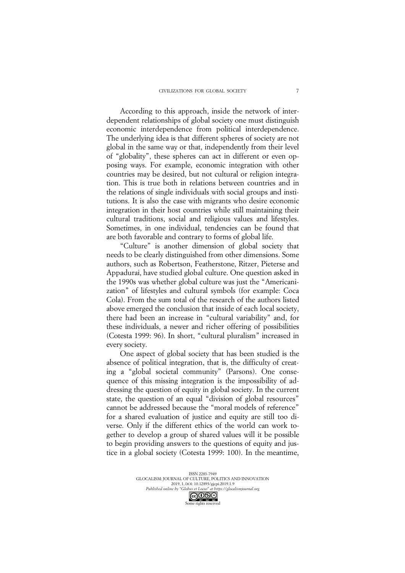According to this approach, inside the network of interdependent relationships of global society one must distinguish economic interdependence from political interdependence. The underlying idea is that different spheres of society are not global in the same way or that, independently from their level of "globality", these spheres can act in different or even opposing ways. For example, economic integration with other countries may be desired, but not cultural or religion integration. This is true both in relations between countries and in the relations of single individuals with social groups and institutions. It is also the case with migrants who desire economic integration in their host countries while still maintaining their cultural traditions, social and religious values and lifestyles. Sometimes, in one individual, tendencies can be found that are both favorable and contrary to forms of global life.

"Culture" is another dimension of global society that needs to be clearly distinguished from other dimensions. Some authors, such as Robertson, Featherstone, Ritzer, Pieterse and Appadurai, have studied global culture. One question asked in the 1990s was whether global culture was just the "Americanization" of lifestyles and cultural symbols (for example: Coca Cola). From the sum total of the research of the authors listed above emerged the conclusion that inside of each local society, there had been an increase in "cultural variability" and, for these individuals, a newer and richer offering of possibilities (Cotesta 1999: 96). In short, "cultural pluralism" increased in every society.

One aspect of global society that has been studied is the absence of political integration, that is, the difficulty of creating a "global societal community" (Parsons). One consequence of this missing integration is the impossibility of addressing the question of equity in global society. In the current state, the question of an equal "division of global resources" cannot be addressed because the "moral models of reference" for a shared evaluation of justice and equity are still too diverse. Only if the different ethics of the world can work together to develop a group of shared values will it be possible to begin providing answers to the questions of equity and justice in a global society (Cotesta 1999: 100). In the meantime,

> ISSN 2283-7949 GLOCALISM: JOURNAL OF CULTURE, POLITICS AND INNOVATION 2019, 1, DOI: 10.12893/gjcpi.2019.1.9 *Published online by "Globus et Locus" at https://glocalismjournal.org*

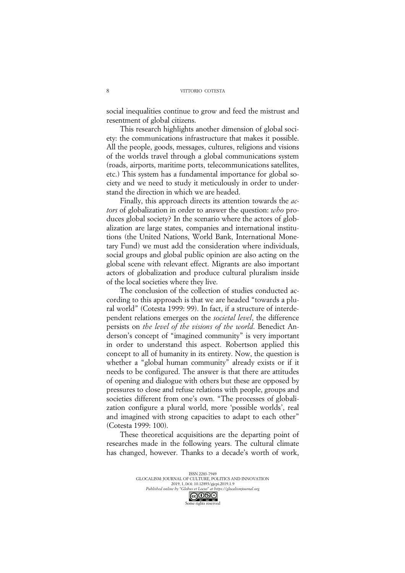social inequalities continue to grow and feed the mistrust and resentment of global citizens.

This research highlights another dimension of global society: the communications infrastructure that makes it possible. All the people, goods, messages, cultures, religions and visions of the worlds travel through a global communications system (roads, airports, maritime ports, telecommunications satellites, etc.) This system has a fundamental importance for global society and we need to study it meticulously in order to understand the direction in which we are headed.

Finally, this approach directs its attention towards the *actors* of globalization in order to answer the question: *who* produces global society? In the scenario where the actors of globalization are large states, companies and international institutions (the United Nations, World Bank, International Monetary Fund) we must add the consideration where individuals, social groups and global public opinion are also acting on the global scene with relevant effect. Migrants are also important actors of globalization and produce cultural pluralism inside of the local societies where they live.

The conclusion of the collection of studies conducted according to this approach is that we are headed "towards a plural world" (Cotesta 1999: 99). In fact, if a structure of interdependent relations emerges on the *societal level*, the difference persists on *the level of the visions of the world*. Benedict Anderson's concept of "imagined community" is very important in order to understand this aspect. Robertson applied this concept to all of humanity in its entirety. Now, the question is whether a "global human community" already exists or if it needs to be configured. The answer is that there are attitudes of opening and dialogue with others but these are opposed by pressures to close and refuse relations with people, groups and societies different from one's own. "The processes of globalization configure a plural world, more 'possible worlds', real and imagined with strong capacities to adapt to each other" (Cotesta 1999: 100).

These theoretical acquisitions are the departing point of researches made in the following years. The cultural climate has changed, however. Thanks to a decade's worth of work,

> ISSN 2283-7949 GLOCALISM: JOURNAL OF CULTURE, POLITICS AND INNOVATION 2019, 1, DOI: 10.12893/gjcpi.2019.1.9 *Published online by "Globus et Locus" at https://glocalismjournal.org* Some rights reserved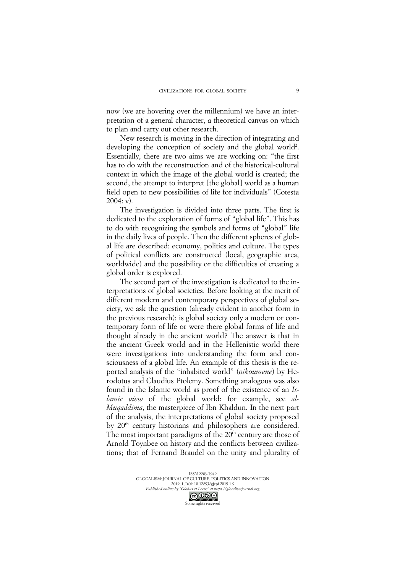now (we are hovering over the millennium) we have an interpretation of a general character, a theoretical canvas on which to plan and carry out other research.

New research is moving in the direction of integrating and developing the conception of society and the global world<sup>2</sup>. Essentially, there are two aims we are working on: "the first has to do with the reconstruction and of the historical-cultural context in which the image of the global world is created; the second, the attempt to interpret [the global] world as a human field open to new possibilities of life for individuals" (Cotesta  $2004: v$ ).

The investigation is divided into three parts. The first is dedicated to the exploration of forms of "global life". This has to do with recognizing the symbols and forms of "global" life in the daily lives of people. Then the different spheres of global life are described: economy, politics and culture. The types of political conflicts are constructed (local, geographic area, worldwide) and the possibility or the difficulties of creating a global order is explored.

The second part of the investigation is dedicated to the interpretations of global societies. Before looking at the merit of different modern and contemporary perspectives of global society, we ask the question (already evident in another form in the previous research): is global society only a modern or contemporary form of life or were there global forms of life and thought already in the ancient world? The answer is that in the ancient Greek world and in the Hellenistic world there were investigations into understanding the form and consciousness of a global life. An example of this thesis is the reported analysis of the "inhabited world" (*oikoumene*) by Herodotus and Claudius Ptolemy. Something analogous was also found in the Islamic world as proof of the existence of an *Islamic view* of the global world: for example, see *al-Muqaddima*, the masterpiece of Ibn Khaldun. In the next part of the analysis, the interpretations of global society proposed by 20<sup>th</sup> century historians and philosophers are considered. The most important paradigms of the  $20<sup>th</sup>$  century are those of Arnold Toynbee on history and the conflicts between civilizations; that of Fernand Braudel on the unity and plurality of

> ISSN 2283-7949 GLOCALISM: JOURNAL OF CULTURE, POLITICS AND INNOVATION 2019, 1, DOI: 10.12893/gjcpi.2019.1.9 *Published online by "Globus et Locus" at https://glocalismjournal.org*

> > Some rights reserved



9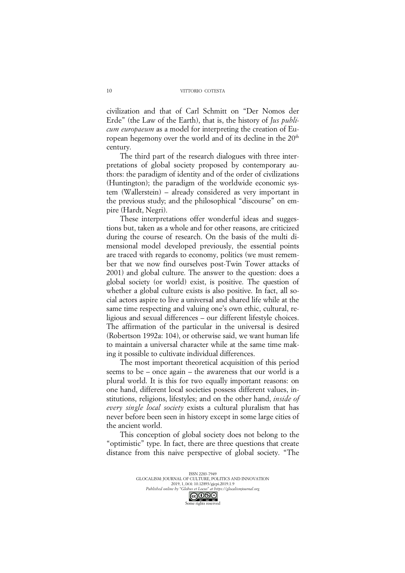civilization and that of Carl Schmitt on "Der Nomos der Erde" (the Law of the Earth), that is, the history of *Jus publicum europaeum* as a model for interpreting the creation of European hegemony over the world and of its decline in the  $20<sup>th</sup>$ century.

The third part of the research dialogues with three interpretations of global society proposed by contemporary authors: the paradigm of identity and of the order of civilizations (Huntington); the paradigm of the worldwide economic system (Wallerstein) – already considered as very important in the previous study; and the philosophical "discourse" on empire (Hardt, Negri).

These interpretations offer wonderful ideas and suggestions but, taken as a whole and for other reasons, are criticized during the course of research. On the basis of the multi dimensional model developed previously, the essential points are traced with regards to economy, politics (we must remember that we now find ourselves post-Twin Tower attacks of 2001) and global culture. The answer to the question: does a global society (or world) exist, is positive. The question of whether a global culture exists is also positive. In fact, all social actors aspire to live a universal and shared life while at the same time respecting and valuing one's own ethic, cultural, religious and sexual differences – our different lifestyle choices. The affirmation of the particular in the universal is desired (Robertson 1992a: 104), or otherwise said, we want human life to maintain a universal character while at the same time making it possible to cultivate individual differences.

The most important theoretical acquisition of this period seems to be – once again – the awareness that our world is a plural world. It is this for two equally important reasons: on one hand, different local societies possess different values, institutions, religions, lifestyles; and on the other hand, *inside of every single local society* exists a cultural pluralism that has never before been seen in history except in some large cities of the ancient world.

This conception of global society does not belong to the "optimistic" type. In fact, there are three questions that create distance from this naive perspective of global society. "The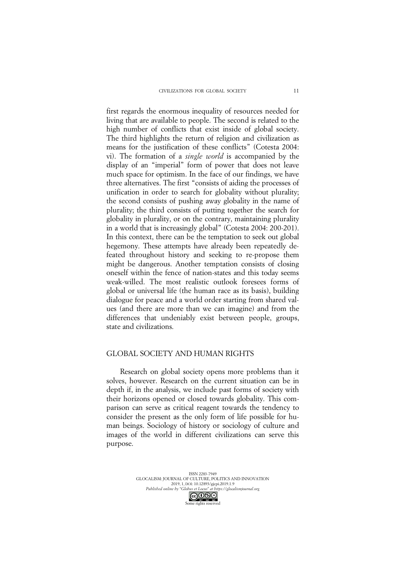first regards the enormous inequality of resources needed for living that are available to people. The second is related to the high number of conflicts that exist inside of global society. The third highlights the return of religion and civilization as means for the justification of these conflicts" (Cotesta 2004: vi). The formation of a *single world* is accompanied by the display of an "imperial" form of power that does not leave much space for optimism. In the face of our findings, we have three alternatives. The first "consists of aiding the processes of unification in order to search for globality without plurality; the second consists of pushing away globality in the name of plurality; the third consists of putting together the search for globality in plurality, or on the contrary, maintaining plurality in a world that is increasingly global" (Cotesta 2004: 200-201). In this context, there can be the temptation to seek out global hegemony. These attempts have already been repeatedly defeated throughout history and seeking to re-propose them might be dangerous. Another temptation consists of closing oneself within the fence of nation-states and this today seems weak-willed. The most realistic outlook foresees forms of global or universal life (the human race as its basis), building dialogue for peace and a world order starting from shared values (and there are more than we can imagine) and from the differences that undeniably exist between people, groups, state and civilizations.

### GLOBAL SOCIETY AND HUMAN RIGHTS

Research on global society opens more problems than it solves, however. Research on the current situation can be in depth if, in the analysis, we include past forms of society with their horizons opened or closed towards globality. This comparison can serve as critical reagent towards the tendency to consider the present as the only form of life possible for human beings. Sociology of history or sociology of culture and images of the world in different civilizations can serve this purpose.

> ISSN 2283-7949 GLOCALISM: JOURNAL OF CULTURE, POLITICS AND INNOVATION 2019, 1, DOI: 10.12893/gjcpi.2019.1.9 *Published online by "Globus et Locus" at https://glocalismjournal.org*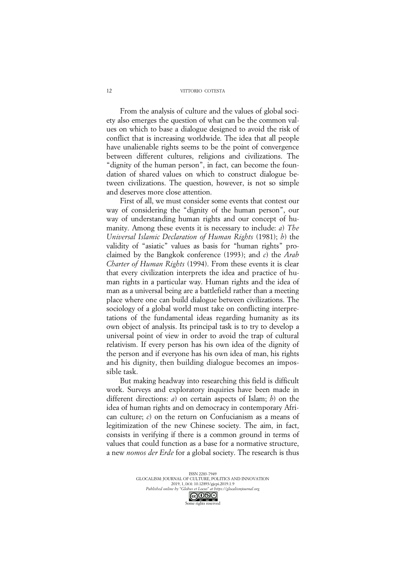#### VITTORIO COTESTA

From the analysis of culture and the values of global society also emerges the question of what can be the common values on which to base a dialogue designed to avoid the risk of conflict that is increasing worldwide. The idea that all people have unalienable rights seems to be the point of convergence between different cultures, religions and civilizations. The "dignity of the human person", in fact, can become the foundation of shared values on which to construct dialogue between civilizations. The question, however, is not so simple and deserves more close attention.

First of all, we must consider some events that contest our way of considering the "dignity of the human person", our way of understanding human rights and our concept of humanity. Among these events it is necessary to include: *a*) *The Universal Islamic Declaration of Human Rights* (1981); *b*) the validity of "asiatic" values as basis for "human rights" proclaimed by the Bangkok conference (1993); and *c*) the *Arab Charter of Human Rights* (1994). From these events it is clear that every civilization interprets the idea and practice of human rights in a particular way. Human rights and the idea of man as a universal being are a battlefield rather than a meeting place where one can build dialogue between civilizations. The sociology of a global world must take on conflicting interpretations of the fundamental ideas regarding humanity as its own object of analysis. Its principal task is to try to develop a universal point of view in order to avoid the trap of cultural relativism. If every person has his own idea of the dignity of the person and if everyone has his own idea of man, his rights and his dignity, then building dialogue becomes an impossible task.

But making headway into researching this field is difficult work. Surveys and exploratory inquiries have been made in different directions: *a*) on certain aspects of Islam; *b*) on the idea of human rights and on democracy in contemporary African culture; *c*) on the return on Confucianism as a means of legitimization of the new Chinese society. The aim, in fact, consists in verifying if there is a common ground in terms of values that could function as a base for a normative structure, a new *nomos der Erde* for a global society. The research is thus

> ISSN 2283-7949 GLOCALISM: JOURNAL OF CULTURE, POLITICS AND INNOVATION 2019, 1, DOI: 10.12893/gjcpi.2019.1.9 *Published online by "Globus et Locus" at https://glocalismjournal.org* Some rights reserved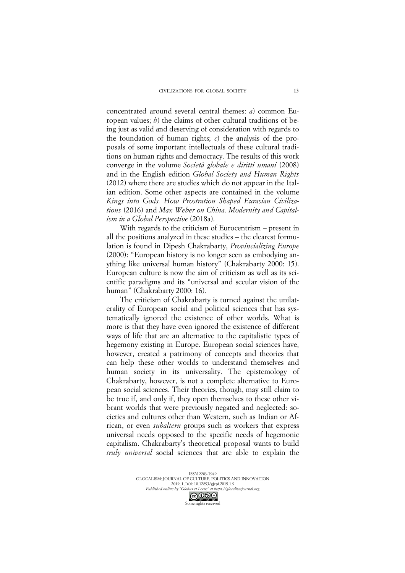concentrated around several central themes: *a*) common European values; *b*) the claims of other cultural traditions of being just as valid and deserving of consideration with regards to the foundation of human rights; *c*) the analysis of the proposals of some important intellectuals of these cultural traditions on human rights and democracy. The results of this work converge in the volume *Società globale e diritti umani* (2008) and in the English edition *Global Society and Human Rights*  (2012) where there are studies which do not appear in the Italian edition. Some other aspects are contained in the volume *Kings into Gods. How Prostration Shaped Eurasian Civilizations* (2016) and *Max Weber on China. Modernity and Capitalism in a Global Perspective* (2018a).

With regards to the criticism of Eurocentrism – present in all the positions analyzed in these studies – the clearest formulation is found in Dipesh Chakrabarty, *Provincializing Europe* (2000): "European history is no longer seen as embodying anything like universal human history" (Chakrabarty 2000: 15). European culture is now the aim of criticism as well as its scientific paradigms and its "universal and secular vision of the human" (Chakrabarty 2000: 16).

The criticism of Chakrabarty is turned against the unilaterality of European social and political sciences that has systematically ignored the existence of other worlds. What is more is that they have even ignored the existence of different ways of life that are an alternative to the capitalistic types of hegemony existing in Europe. European social sciences have, however, created a patrimony of concepts and theories that can help these other worlds to understand themselves and human society in its universality. The epistemology of Chakrabarty, however, is not a complete alternative to European social sciences. Their theories, though, may still claim to be true if, and only if, they open themselves to these other vibrant worlds that were previously negated and neglected: societies and cultures other than Western, such as Indian or African, or even *subaltern* groups such as workers that express universal needs opposed to the specific needs of hegemonic capitalism. Chakrabarty's theoretical proposal wants to build *truly universal* social sciences that are able to explain the

> ISSN 2283-7949 GLOCALISM: JOURNAL OF CULTURE, POLITICS AND INNOVATION 2019, 1, DOI: 10.12893/gjcpi.2019.1.9 *Published online by "Globus et Locus" at https://glocalismjournal.org*

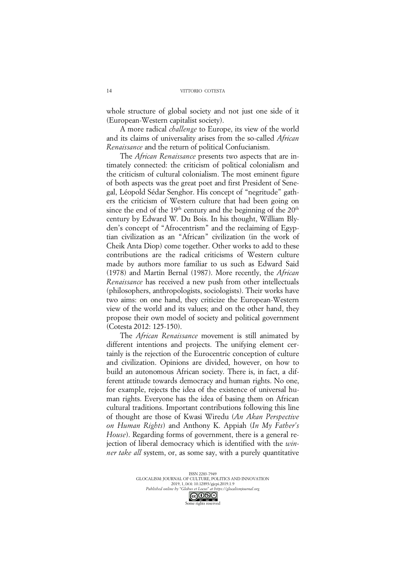whole structure of global society and not just one side of it (European-Western capitalist society).

A more radical *challenge* to Europe, its view of the world and its claims of universality arises from the so-called *African Renaissance* and the return of political Confucianism.

The *African Renaissance* presents two aspects that are intimately connected: the criticism of political colonialism and the criticism of cultural colonialism. The most eminent figure of both aspects was the great poet and first President of Senegal, Léopold Sédar Senghor. His concept of "negritude" gathers the criticism of Western culture that had been going on since the end of the  $19<sup>th</sup>$  century and the beginning of the  $20<sup>th</sup>$ century by Edward W. Du Bois. In his thought, William Blyden's concept of "Afrocentrism" and the reclaiming of Egyptian civilization as an "African" civilization (in the work of Cheik Anta Diop) come together. Other works to add to these contributions are the radical criticisms of Western culture made by authors more familiar to us such as Edward Said (1978) and Martin Bernal (1987). More recently, the *African Renaissance* has received a new push from other intellectuals (philosophers, anthropologists, sociologists). Their works have two aims: on one hand, they criticize the European-Western view of the world and its values; and on the other hand, they propose their own model of society and political government (Cotesta 2012: 125-150).

The *African Renaissance* movement is still animated by different intentions and projects. The unifying element certainly is the rejection of the Eurocentric conception of culture and civilization. Opinions are divided, however, on how to build an autonomous African society. There is, in fact, a different attitude towards democracy and human rights. No one, for example, rejects the idea of the existence of universal human rights. Everyone has the idea of basing them on African cultural traditions. Important contributions following this line of thought are those of Kwasi Wiredu (*An Akan Perspective on Human Rights*) and Anthony K. Appiah (*In My Father's House*). Regarding forms of government, there is a general rejection of liberal democracy which is identified with the *winner take all* system, or, as some say, with a purely quantitative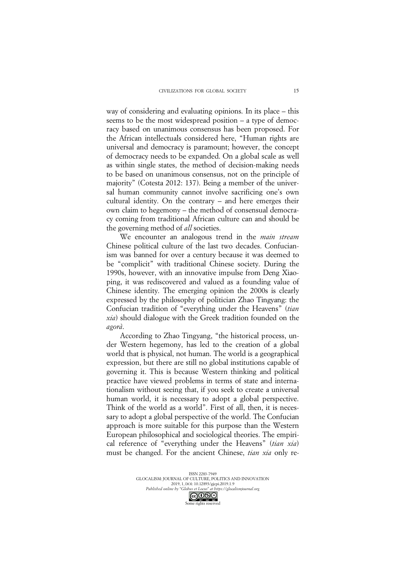way of considering and evaluating opinions. In its place – this seems to be the most widespread position – a type of democracy based on unanimous consensus has been proposed. For the African intellectuals considered here, "Human rights are universal and democracy is paramount; however, the concept of democracy needs to be expanded. On a global scale as well as within single states, the method of decision-making needs to be based on unanimous consensus, not on the principle of majority" (Cotesta 2012: 137). Being a member of the universal human community cannot involve sacrificing one's own cultural identity. On the contrary – and here emerges their own claim to hegemony – the method of consensual democracy coming from traditional African culture can and should be the governing method of *all* societies.

We encounter an analogous trend in the *main stream*  Chinese political culture of the last two decades. Confucianism was banned for over a century because it was deemed to be "complicit" with traditional Chinese society. During the 1990s, however, with an innovative impulse from Deng Xiaoping, it was rediscovered and valued as a founding value of Chinese identity. The emerging opinion the 2000s is clearly expressed by the philosophy of politician Zhao Tingyang: the Confucian tradition of "everything under the Heavens" (*tian xia*) should dialogue with the Greek tradition founded on the *agorà*.

According to Zhao Tingyang, "the historical process, under Western hegemony, has led to the creation of a global world that is physical, not human. The world is a geographical expression, but there are still no global institutions capable of governing it. This is because Western thinking and political practice have viewed problems in terms of state and internationalism without seeing that, if you seek to create a universal human world, it is necessary to adopt a global perspective. Think of the world as a world". First of all, then, it is necessary to adopt a global perspective of the world. The Confucian approach is more suitable for this purpose than the Western European philosophical and sociological theories. The empirical reference of "everything under the Heavens" (*tian xia*) must be changed. For the ancient Chinese, *tian xia* only re-

> ISSN 2283-7949 GLOCALISM: JOURNAL OF CULTURE, POLITICS AND INNOVATION 2019, 1, DOI: 10.12893/gjcpi.2019.1.9 *Published online by "Globus et Locus" at https://glocalismjournal.org*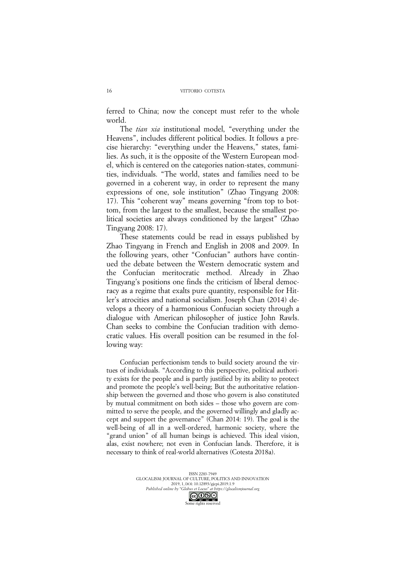ferred to China; now the concept must refer to the whole world.

The *tian xia* institutional model, "everything under the Heavens", includes different political bodies. It follows a precise hierarchy: "everything under the Heavens," states, families. As such, it is the opposite of the Western European model, which is centered on the categories nation-states, communities, individuals. "The world, states and families need to be governed in a coherent way, in order to represent the many expressions of one, sole institution" (Zhao Tingyang 2008: 17). This "coherent way" means governing "from top to bottom, from the largest to the smallest, because the smallest political societies are always conditioned by the largest" (Zhao Tingyang 2008: 17).

These statements could be read in essays published by Zhao Tingyang in French and English in 2008 and 2009. In the following years, other "Confucian" authors have continued the debate between the Western democratic system and the Confucian meritocratic method. Already in Zhao Tingyang's positions one finds the criticism of liberal democracy as a regime that exalts pure quantity, responsible for Hitler's atrocities and national socialism. Joseph Chan (2014) develops a theory of a harmonious Confucian society through a dialogue with American philosopher of justice John Rawls. Chan seeks to combine the Confucian tradition with democratic values. His overall position can be resumed in the following way:

Confucian perfectionism tends to build society around the virtues of individuals. "According to this perspective, political authority exists for the people and is partly justified by its ability to protect and promote the people's well-being; But the authoritative relationship between the governed and those who govern is also constituted by mutual commitment on both sides – those who govern are committed to serve the people, and the governed willingly and gladly accept and support the governance" (Chan 2014: 19). The goal is the well-being of all in a well-ordered, harmonic society, where the "grand union" of all human beings is achieved. This ideal vision, alas, exist nowhere; not even in Confucian lands. Therefore, it is necessary to think of real-world alternatives (Cotesta 2018a).

> ISSN 2283-7949 GLOCALISM: JOURNAL OF CULTURE, POLITICS AND INNOVATION 2019, 1, DOI: 10.12893/gjcpi.2019.1.9 *Published online by "Globus et Locus" at https://glocalismjournal.org*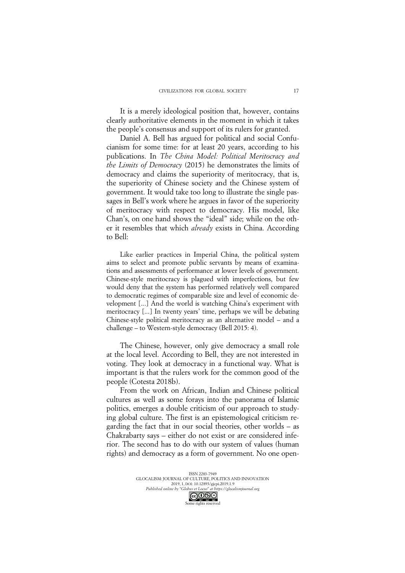It is a merely ideological position that, however, contains clearly authoritative elements in the moment in which it takes the people's consensus and support of its rulers for granted.

Daniel A. Bell has argued for political and social Confucianism for some time: for at least 20 years, according to his publications. In *The China Model: Political Meritocracy and the Limits of Democracy* (2015) he demonstrates the limits of democracy and claims the superiority of meritocracy, that is, the superiority of Chinese society and the Chinese system of government. It would take too long to illustrate the single passages in Bell's work where he argues in favor of the superiority of meritocracy with respect to democracy. His model, like Chan's, on one hand shows the "ideal" side; while on the other it resembles that which *already* exists in China. According to Bell:

Like earlier practices in Imperial China, the political system aims to select and promote public servants by means of examinations and assessments of performance at lower levels of government. Chinese-style meritocracy is plagued with imperfections, but few would deny that the system has performed relatively well compared to democratic regimes of comparable size and level of economic development [...] And the world is watching China's experiment with meritocracy [...] In twenty years' time, perhaps we will be debating Chinese-style political meritocracy as an alternative model – and a challenge – to Western-style democracy (Bell 2015: 4).

The Chinese, however, only give democracy a small role at the local level. According to Bell, they are not interested in voting. They look at democracy in a functional way. What is important is that the rulers work for the common good of the people (Cotesta 2018b).

From the work on African, Indian and Chinese political cultures as well as some forays into the panorama of Islamic politics, emerges a double criticism of our approach to studying global culture. The first is an epistemological criticism regarding the fact that in our social theories, other worlds – as Chakrabarty says – either do not exist or are considered inferior. The second has to do with our system of values (human rights) and democracy as a form of government. No one open-

> ISSN 2283-7949 GLOCALISM: JOURNAL OF CULTURE, POLITICS AND INNOVATION 2019, 1, DOI: 10.12893/gjcpi.2019.1.9 *Published online by "Globus et Locus" at https://glocalismjournal.org*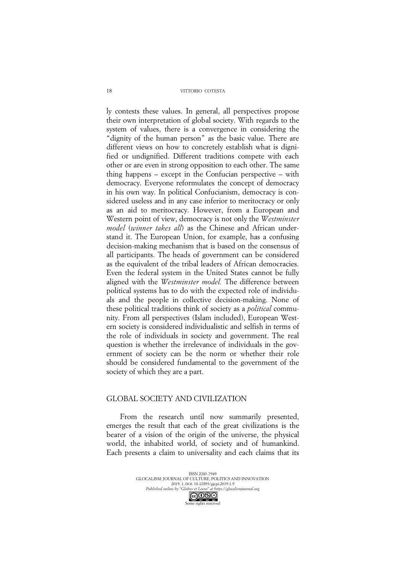VITTORIO COTESTA

ly contests these values. In general, all perspectives propose their own interpretation of global society. With regards to the system of values, there is a convergence in considering the "dignity of the human person" as the basic value. There are different views on how to concretely establish what is dignified or undignified. Different traditions compete with each other or are even in strong opposition to each other. The same thing happens – except in the Confucian perspective – with democracy. Everyone reformulates the concept of democracy in his own way. In political Confucianism, democracy is considered useless and in any case inferior to meritocracy or only as an aid to meritocracy. However, from a European and Western point of view, democracy is not only the *Westminster model* (*winner takes all*) as the Chinese and African understand it. The European Union, for example, has a confusing decision-making mechanism that is based on the consensus of all participants. The heads of government can be considered as the equivalent of the tribal leaders of African democracies. Even the federal system in the United States cannot be fully aligned with the *Westminster model.* The difference between political systems has to do with the expected role of individuals and the people in collective decision-making. None of these political traditions think of society as a *political* community. From all perspectives (Islam included), European Western society is considered individualistic and selfish in terms of the role of individuals in society and government. The real question is whether the irrelevance of individuals in the government of society can be the norm or whether their role should be considered fundamental to the government of the society of which they are a part.

## GLOBAL SOCIETY AND CIVILIZATION

From the research until now summarily presented, emerges the result that each of the great civilizations is the bearer of a vision of the origin of the universe, the physical world, the inhabited world, of society and of humankind. Each presents a claim to universality and each claims that its

> ISSN 2283-7949 GLOCALISM: JOURNAL OF CULTURE, POLITICS AND INNOVATION 2019, 1, DOI: 10.12893/gjcpi.2019.1.9 *Published online by "Globus et Locus" at https://glocalismjournal.org*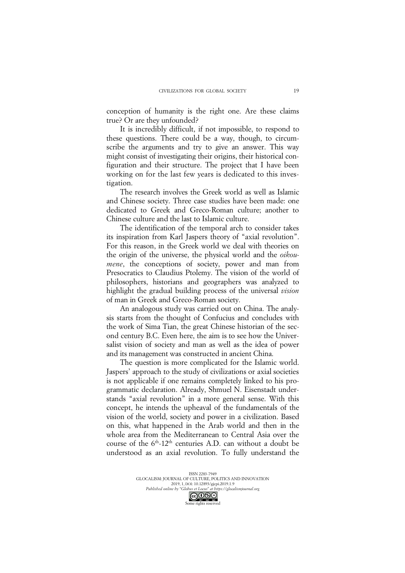conception of humanity is the right one. Are these claims true? Or are they unfounded?

It is incredibly difficult, if not impossible, to respond to these questions. There could be a way, though, to circumscribe the arguments and try to give an answer. This way might consist of investigating their origins, their historical configuration and their structure. The project that I have been working on for the last few years is dedicated to this investigation.

The research involves the Greek world as well as Islamic and Chinese society. Three case studies have been made: one dedicated to Greek and Greco-Roman culture; another to Chinese culture and the last to Islamic culture.

The identification of the temporal arch to consider takes its inspiration from Karl Jaspers theory of "axial revolution". For this reason, in the Greek world we deal with theories on the origin of the universe, the physical world and the *oikoumene*, the conceptions of society, power and man from Presocratics to Claudius Ptolemy. The vision of the world of philosophers, historians and geographers was analyzed to highlight the gradual building process of the universal *vision* of man in Greek and Greco-Roman society.

An analogous study was carried out on China. The analysis starts from the thought of Confucius and concludes with the work of Sima Tian, the great Chinese historian of the second century B.C. Even here, the aim is to see how the Universalist vision of society and man as well as the idea of power and its management was constructed in ancient China.

The question is more complicated for the Islamic world. Jaspers' approach to the study of civilizations or axial societies is not applicable if one remains completely linked to his programmatic declaration. Already, Shmuel N. Eisenstadt understands "axial revolution" in a more general sense. With this concept, he intends the upheaval of the fundamentals of the vision of the world, society and power in a civilization. Based on this, what happened in the Arab world and then in the whole area from the Mediterranean to Central Asia over the course of the  $6<sup>th</sup>$ -12<sup>th</sup> centuries A.D. can without a doubt be understood as an axial revolution. To fully understand the

ISSN 2283-7949 GLOCALISM: JOURNAL OF CULTURE, POLITICS AND INNOVATION 2019, 1, DOI: 10.12893/gjcpi.2019.1.9 *Published online by "Globus et Locus" at https://glocalismjournal.org* Some rights reserved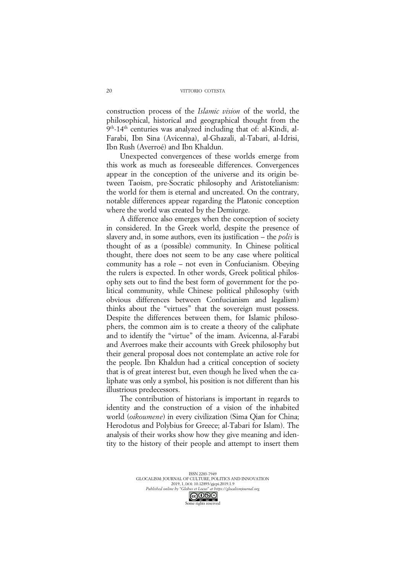construction process of the *Islamic vision* of the world, the philosophical, historical and geographical thought from the 9th-14th centuries was analyzed including that of: al-Kindi, al-Farabi, Ibn Sina (Avicenna), al-Ghazali, al-Tabari, al-Idrisi, Ibn Rush (Averroé) and Ibn Khaldun.

Unexpected convergences of these worlds emerge from this work as much as foreseeable differences. Convergences appear in the conception of the universe and its origin between Taoism, pre-Socratic philosophy and Aristotelianism: the world for them is eternal and uncreated. On the contrary, notable differences appear regarding the Platonic conception where the world was created by the Demiurge.

A difference also emerges when the conception of society in considered. In the Greek world, despite the presence of slavery and, in some authors, even its justification – the *polis* is thought of as a (possible) community. In Chinese political thought, there does not seem to be any case where political community has a role – not even in Confucianism. Obeying the rulers is expected. In other words, Greek political philosophy sets out to find the best form of government for the political community, while Chinese political philosophy (with obvious differences between Confucianism and legalism) thinks about the "virtues" that the sovereign must possess. Despite the differences between them, for Islamic philosophers, the common aim is to create a theory of the caliphate and to identify the "virtue" of the imam. Avicenna, al-Farabi and Averroes make their accounts with Greek philosophy but their general proposal does not contemplate an active role for the people. Ibn Khaldun had a critical conception of society that is of great interest but, even though he lived when the caliphate was only a symbol, his position is not different than his illustrious predecessors.

The contribution of historians is important in regards to identity and the construction of a vision of the inhabited world (*oikoumene*) in every civilization (Sima Qian for China; Herodotus and Polybius for Greece; al-Tabari for Islam). The analysis of their works show how they give meaning and identity to the history of their people and attempt to insert them

> ISSN 2283-7949 GLOCALISM: JOURNAL OF CULTURE, POLITICS AND INNOVATION 2019, 1, DOI: 10.12893/gjcpi.2019.1.9 *Published online by "Globus et Locus" at https://glocalismjournal.org* Some rights reserved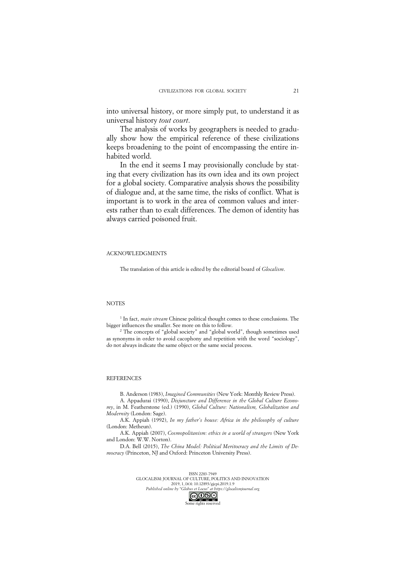into universal history, or more simply put, to understand it as universal history *tout court*.

The analysis of works by geographers is needed to gradually show how the empirical reference of these civilizations keeps broadening to the point of encompassing the entire inhabited world.

In the end it seems I may provisionally conclude by stating that every civilization has its own idea and its own project for a global society. Comparative analysis shows the possibility of dialogue and, at the same time, the risks of conflict. What is important is to work in the area of common values and interests rather than to exalt differences. The demon of identity has always carried poisoned fruit.

#### ACKNOWLEDGMENTS

The translation of this article is edited by the editorial board of *Glocalism*.

### **NOTES**

<sup>1</sup> In fact, *main stream* Chinese political thought comes to these conclusions. The bigger influences the smaller. See more on this to follow.

<sup>2</sup> The concepts of "global society" and "global world", though sometimes used as synonyms in order to avoid cacophony and repetition with the word "sociology", do not always indicate the same object or the same social process.

#### **REFERENCES**

B. Anderson (1983), *Imagined Communities* (New York: Monthly Review Press).

A. Appadurai (1990), *Disjuncture and Difference in the Global Culture Economy*, in M. Featherstone (ed.) (1990), *Global Culture: Nationalism, Globalization and Modernity* (London: Sage).

A.K. Appiah (1992), *In my father's house: Africa in the philosophy of culture* (London: Metheun).

A.K. Appiah (2007), *Cosmopolitanism: ethics in a world of strangers* (New York and London: W.W. Norton).

D.A. Bell (2015), *The China Model: Political Meritocracy and the Limits of Democracy* (Princeton, NJ and Oxford: Princeton University Press).



GLOCALISM: JOURNAL OF CULTURE, POLITICS AND INNOVATION 2019, 1, DOI: 10.12893/gjcpi.2019.1.9 *Published online by "Globus et Locus" at https://glocalismjournal.org*

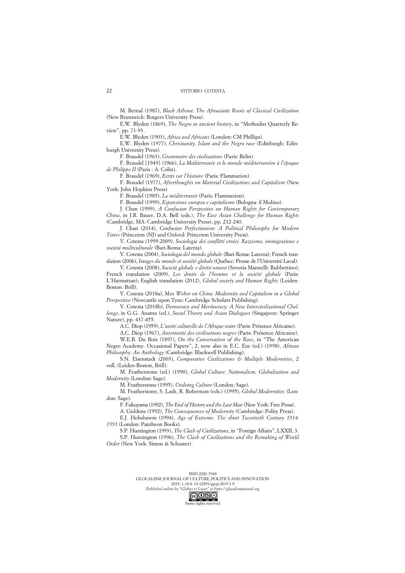M. Bernal (1987), *Black Athena*: *The Afroasiatic Roots of Classical Civilization* (New Brunswick: Rutgers University Press).

E.W. Blyden (1869), *The Negro in ancient history*, in "Methodist Quarterly Review", pp. 71-93.

E.W. Blyden (1903), *Africa and Africans* (London: CM Phillips).

E.W. Blyden (1977), *Christianity, Islam and the Negro race* (Edinburgh: Edinburgh University Press).

F. Braudel (1963), *Grammaire des civilisations* (Paris: Belin).

F. Braudel [1949] (1966), *La Méditerranée et le monde méditerranéen à l'époque de Philippe II* (Paris : A. Colin).

F. Braudel (1969), *Ecrits sur l'histoire* (Paris: Flammarion).

F. Braudel (1977), *Afterthoughts on Material Civilizations and Capitalism* (New York: John Hopkins Press).

F. Braudel (1985), *La méditerranée* (Paris: Flammarion).

F. Braudel (1999), *Espansione europea e capitalismo* (Bologna: il Mulino).

J. Chan (1999), *A Confucian Perspective on Human Rights for Contemporary* 

*China*, in J.R. Bauer, D.A. Bell (eds.), *The East Asian Challenge for Human Rights* (Cambridge, MA: Cambridge University Press), pp. 212-240.

J. Chan (2014), *Confucian Perfectionism: A Political Philosophy for Modern Times* (Princeton (NJ) and Oxford: Princeton University Press).

V. Cotesta (1999-2009), *Sociologia dei conflitti etnici. Razzismo, immigrazione e società multiculturale* (Bari-Roma: Laterza).

V. Cotesta (2004), *Sociologia del mondo globale* (Bari-Roma: Laterza); French translation (2006), *Images du monde et société globale* (Québec: Presse de l'Université Laval).

V. Cotesta (2008), *Società globale e diritti umani* (Soveria Mannelli: Rubbettino); French translation (2009), *Les droits de l'homme et la société globale* (Paris: L'Harmattan); English translation (2012), *Global society and Human Rights* (Leiden-Boston: Brill).

V. Cotesta (2018a), *Max Weber on China: Modernity and Capitalism in a Global Perspective* (Newcastle upon Tyne: Cambridge Scholars Publishing).

V. Cotesta (2018b), *Democracy and Meritocracy: A New Intercivilizational Challenge*, in G.G. Ananta (ed.), *Social Theory and Asian Dialogues* (Singapore: Springer Nature), pp. 437-455.

A.C. Diop (1959), *L'unité culturelle de l'Afrique noire* (Paris: Présence Africaine).

A.C. Diop (1967), *Anteriorité des civilisations negres* (Paris: Présence Africaine).

W.E.B. Du Bois (1897), *On the Conservation of the Race*, in "The American Negro Academy. Occasional Papers", 2, now also in E.C. Eze (ed.) (1998), *African Philosophy: An Anthology* (Cambridge: Blackwell Publishing).

S.N. Eisenstadt (2003), *Comparative Civilizations & Multiple Modernities*, 2 voll. (Leiden-Boston, Brill).

M. Featherstone (ed.) (1990), *Global Culture: Nationalism, Globalization and Modernity* (London: Sage).

M. Featherstone (1995), *Undoing Culture* (London: Sage).

M. Featherstone, S. Lash, R. Robertson (eds.) (1995), *Global Modernities* (London: Sage).

F. Fukuyama (1992), *The End of History and the Last Man* (New York: Free Press).

A. Giddens (1992), *The Consequences of Modernity* (Cambridge: Polity Press).

E.J. Hobsbawm (1994), *Age of Extreme. The short Twentieth Century 1914- 1991* (London: Pantheon Books).

S.P. Huntington (1993), *The Clash of Civilizations*, in "Foreign Affairs", LXXII, 3. S.P. Huntington (1996), *The Clash of Civilizations and the Remaking of World Order* (New York: Simon & Schuster).

Some rights reserved



 $22$